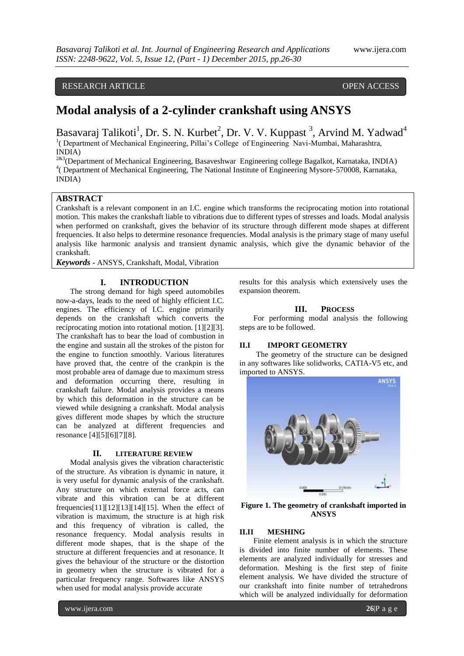# RESEARCH ARTICLE **CONSERVERS** OPEN ACCESS

# **Modal analysis of a 2-cylinder crankshaft using ANSYS**

Basavaraj Talikoti<sup>1</sup>, Dr. S. N. Kurbet<sup>2</sup>, Dr. V. V. Kuppast<sup>3</sup>, Arvind M. Yadwad<sup>4</sup> <sup>1</sup> (Department of Mechanical Engineering, Pillai's College of Engineering Navi-Mumbai, Maharashtra, INDIA)

<sup>2&3</sup>(Department of Mechanical Engineering, Basaveshwar Engineering college Bagalkot, Karnataka, INDIA) <sup>4</sup> (Department of Mechanical Engineering, The National Institute of Engineering Mysore-570008, Karnataka, INDIA)

### **ABSTRACT**

Crankshaft is a relevant component in an I.C. engine which transforms the reciprocating motion into rotational motion. This makes the crankshaft liable to vibrations due to different types of stresses and loads. Modal analysis when performed on crankshaft, gives the behavior of its structure through different mode shapes at different frequencies. It also helps to determine resonance frequencies. Modal analysis is the primary stage of many useful analysis like harmonic analysis and transient dynamic analysis, which give the dynamic behavior of the crankshaft.

*Keywords* **-** ANSYS, Crankshaft, Modal, Vibration

# **I. INTRODUCTION**

The strong demand for high speed automobiles now-a-days, leads to the need of highly efficient I.C. engines. The efficiency of I.C. engine primarily depends on the crankshaft which converts the reciprocating motion into rotational motion. [1][2][3]. The crankshaft has to bear the load of combustion in the engine and sustain all the strokes of the piston for the engine to function smoothly. Various literatures have proved that, the centre of the crankpin is the most probable area of damage due to maximum stress and deformation occurring there, resulting in crankshaft failure. Modal analysis provides a means by which this deformation in the structure can be viewed while designing a crankshaft. Modal analysis gives different mode shapes by which the structure can be analyzed at different frequencies and resonance [4][5][6][7][8].

#### **II. LITERATURE REVIEW**

Modal analysis gives the vibration characteristic of the structure. As vibration is dynamic in nature, it is very useful for dynamic analysis of the crankshaft. Any structure on which external force acts, can vibrate and this vibration can be at different frequencies $[11][12][13][14][15]$ . When the effect of vibration is maximum, the structure is at high risk and this frequency of vibration is called, the resonance frequency. Modal analysis results in different mode shapes, that is the shape of the structure at different frequencies and at resonance. It gives the behaviour of the structure or the distortion in geometry when the structure is vibrated for a particular frequency range. Softwares like ANSYS when used for modal analysis provide accurate

results for this analysis which extensively uses the expansion theorem.

#### **III. PROCESS**

For performing modal analysis the following steps are to be followed.

#### **II.I IMPORT GEOMETRY**

The geometry of the structure can be designed in any softwares like solidworks, CATIA-V5 etc, and imported to ANSYS.



**Figure 1. The geometry of crankshaft imported in ANSYS**

# **II.II MESHING**

Finite element analysis is in which the structure is divided into finite number of elements. These elements are analyzed individually for stresses and deformation. Meshing is the first step of finite element analysis. We have divided the structure of our crankshaft into finite number of tetrahedrons which will be analyzed individually for deformation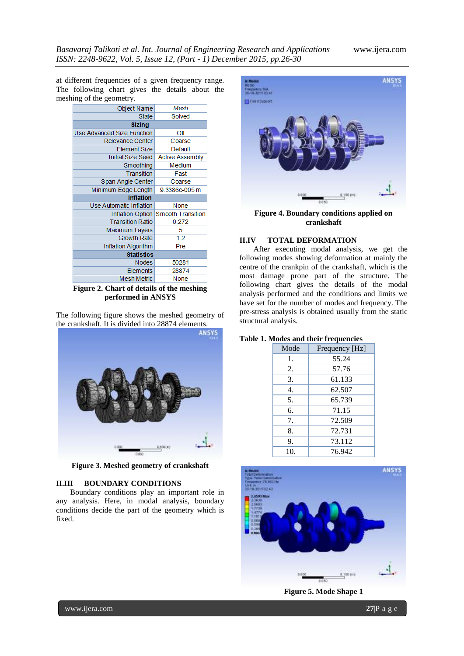at different frequencies of a given frequency range. The following chart gives the details about the meshing of the geometry.

| Object Name                    | Mesh                               |  |
|--------------------------------|------------------------------------|--|
| State                          | Solved                             |  |
| <b>Sizing</b>                  |                                    |  |
| Use Advanced Size Function     | Οff                                |  |
| Relevance Center               | Coarse                             |  |
| <b>Element Size</b>            | Default                            |  |
| Initial Size Seed              | <b>Active Assembly</b>             |  |
| Smoothing                      | Medium                             |  |
| Transition                     | Fast                               |  |
| Span Angle Center              | Coarse                             |  |
| Minimum Edge Length            | 9.3386e-005 m                      |  |
| <b>Inflation</b>               |                                    |  |
| <b>Use Automatic Inflation</b> | None                               |  |
|                                | Inflation Option Smooth Transition |  |
| <b>Transition Ratio</b>        | 0.272                              |  |
| Maximum Layers                 | 5                                  |  |
| <b>Growth Rate</b>             | 1.2                                |  |
| Inflation Algorithm            | Pre                                |  |
| <b>Statistics</b>              |                                    |  |
| Nodes                          | 50281                              |  |
| Elements                       | 28874                              |  |
| Mesh Metric                    |                                    |  |
|                                | None                               |  |

**Figure 2. Chart of details of the meshing performed in ANSYS**

The following figure shows the meshed geometry of the crankshaft. It is divided into 28874 elements.



**Figure 3. Meshed geometry of crankshaft**

#### **II.III BOUNDARY CONDITIONS**

Boundary conditions play an important role in any analysis. Here, in modal analysis, boundary conditions decide the part of the geometry which is fixed.



**Figure 4. Boundary conditions applied on crankshaft**

# **II.IV TOTAL DEFORMATION**

After executing modal analysis, we get the following modes showing deformation at mainly the centre of the crankpin of the crankshaft, which is the most damage prone part of the structure. The following chart gives the details of the modal analysis performed and the conditions and limits we have set for the number of modes and frequency. The pre-stress analysis is obtained usually from the static structural analysis.

### **Table 1. Modes and their frequencies**

| Mode | Frequency [Hz] |
|------|----------------|
| 1.   | 55.24          |
| 2.   | 57.76          |
| 3.   | 61.133         |
| 4.   | 62.507         |
| 5.   | 65.739         |
| 6.   | 71.15          |
| 7.   | 72.509         |
| 8.   | 72.731         |
| 9.   | 73.112         |
| 10.  | 76.942         |



**Figure 5. Mode Shape 1**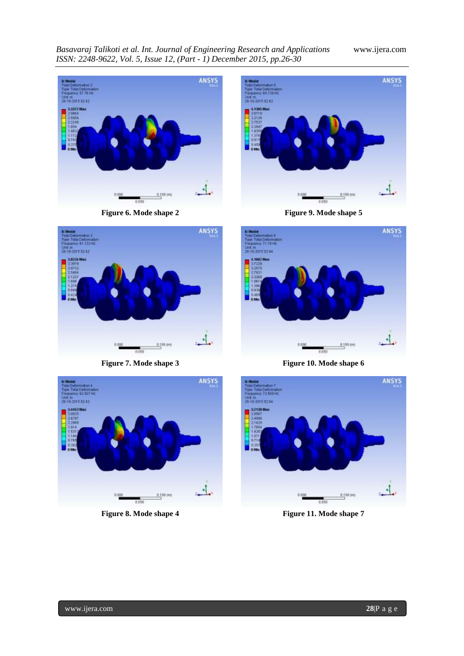*Basavaraj Talikoti et al. Int. Journal of Engineering Research and Applications* www.ijera.com *ISSN: 2248-9622, Vol. 5, Issue 12, (Part - 1) December 2015, pp.26-30*



**Figure 6. Mode shape 2**



**Figure 9. Mode shape 5**



**Figure 7. Mode shape 3**



**Figure 10. Mode shape 6**



**Figure 8. Mode shape 4**



**Figure 11. Mode shape 7**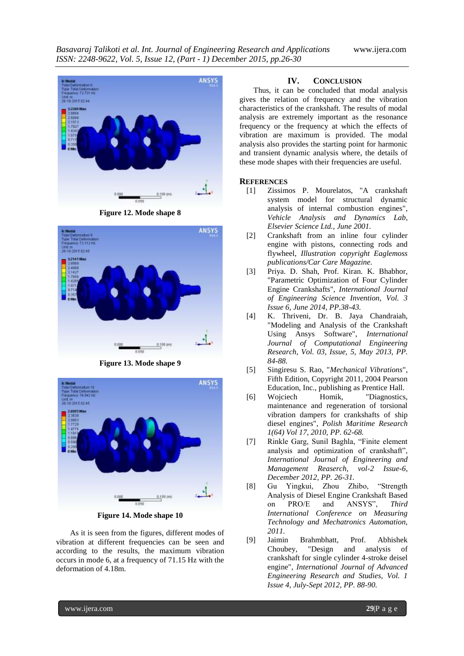

**Figure 12. Mode shape 8**



**Figure 13. Mode shape 9**



**Figure 14. Mode shape 10**

As it is seen from the figures, different modes of vibration at different frequencies can be seen and according to the results, the maximum vibration occurs in mode 6, at a frequency of 71.15 Hz with the deformation of 4.18m.

# **IV. CONCLUSION**

Thus, it can be concluded that modal analysis gives the relation of frequency and the vibration characteristics of the crankshaft. The results of modal analysis are extremely important as the resonance frequency or the frequency at which the effects of vibration are maximum is provided. The modal analysis also provides the starting point for harmonic and transient dynamic analysis where, the details of these mode shapes with their frequencies are useful.

#### **REFERENCES**

- [1] Zissimos P. Mourelatos, "A crankshaft system model for structural dynamic analysis of internal combustion engines", *Vehicle Analysis and Dynamics Lab, Elsevier Science Ltd., June 2001.*
- [2] Crankshaft from an inline four cylinder engine with pistons, connecting rods and flywheel, *Illustration copyright Eaglemoss publications/Car Care Magazine.*
- [3] Priya. D. Shah, Prof. Kiran. K. Bhabhor, "Parametric Optimization of Four Cylinder Engine Crankshafts", *International Journal of Engineering Science Invention, Vol. 3 Issue 6, June 2014, PP.38-43.*
- [4] K. Thriveni, Dr. B. Jaya Chandraiah, "Modeling and Analysis of the Crankshaft Using Ansys Software", *International Journal of Computational Engineering Research, Vol. 03, Issue, 5, May 2013, PP. 84-88.*
- [5] Singiresu S. Rao, "*Mechanical Vibrations*", Fifth Edition, Copyright 2011, 2004 Pearson Education, Inc., publishing as Prentice Hall.
- [6] Wojciech Homik, "Diagnostics, maintenance and regeneration of torsional vibration dampers for crankshafts of ship diesel engines", *Polish Maritime Research 1(64) Vol 17, 2010, PP. 62-68.*
- [7] Rinkle Garg, Sunil Baghla, "Finite element analysis and optimization of crankshaft", *International Journal of Engineering and Management Reaserch, vol-2 Issue-6, December 2012, PP. 26-31.*
- [8] Gu Yingkui, Zhou Zhibo, "Strength Analysis of Diesel Engine Crankshaft Based on PRO/E and ANSYS", *Third International Conference on Measuring Technology and Mechatronics Automation, 2011.*
- [9] Jaimin Brahmbhatt, Prof. Abhishek Choubey, "Design and analysis of crankshaft for single cylinder 4-stroke deisel engine", *International Journal of Advanced Engineering Research and Studies, Vol. 1 Issue 4, July-Sept 2012, PP. 88-90.*